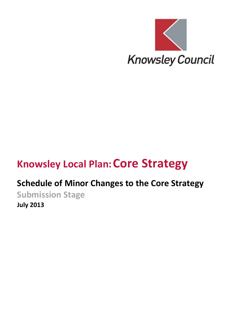

## **Knowsley Local Plan:Core Strategy**

### **Schedule of Minor Changes to the Core Strategy**

**Submission Stage July 2013**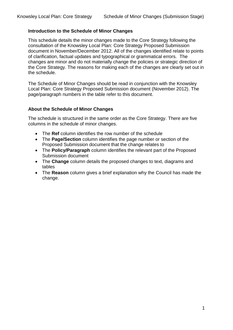#### **Introduction to the Schedule of Minor Changes**

This schedule details the minor changes made to the Core Strategy following the consultation of the Knowsley Local Plan: Core Strategy Proposed Submission document in November/December 2012. All of the changes identified relate to points of clarification, factual updates and typographical or grammatical errors. The changes are minor and do not materially change the policies or strategic direction of the Core Strategy. The reasons for making each of the changes are clearly set out in the schedule.

The Schedule of Minor Changes should be read in conjunction with the Knowsley Local Plan: Core Strategy Proposed Submission document (November 2012). The page/paragraph numbers in the table refer to this document.

#### **About the Schedule of Minor Changes**

The schedule is structured in the same order as the Core Strategy. There are five columns in the schedule of minor changes.

- The **Ref** column identifies the row number of the schedule
- The **Page/Section** column identifies the page number or section of the Proposed Submission document that the change relates to
- The **Policy/Paragraph** column identifies the relevant part of the Proposed Submission document
- The **Change** column details the proposed changes to text, diagrams and tables
- The **Reason** column gives a brief explanation why the Council has made the change.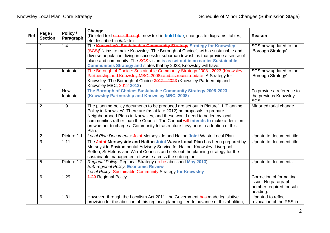| Ref | Page /<br><b>Section</b> | Policy /<br>Paragraph  | Change<br>(Deleted text struck through; new text in <b>bold blue</b> ; changes to diagrams, tables,                                                                                                                                                                                                                                                                                                                     | <b>Reason</b>                                                                           |
|-----|--------------------------|------------------------|-------------------------------------------------------------------------------------------------------------------------------------------------------------------------------------------------------------------------------------------------------------------------------------------------------------------------------------------------------------------------------------------------------------------------|-----------------------------------------------------------------------------------------|
|     | 1.4<br>1                 |                        | etc described in <i>italic</i> text.<br>The Knowsley's Sustainable Community Strategy Strategy for Knowsley<br>(SCS) <sup>(1)</sup> aims to make Knowsley "The Borough of Choice", with a sustainable and<br>diverse population, living in successful suburban townships that provide a sense of<br>place and community. The SCS vision is as set out in an earlier Sustainable                                         | SCS now updated to the<br>'Borough Strategy'                                            |
|     | 1                        | footnote               | Communities Strategy and states that by 2023, Knowsley will have:<br>The Borough of Choice: Sustainable Community Strategy 2008 - 2023 (Knowsley<br>Partnership and Knowsley MBC, 2008) and its recent update, A Strategy for<br>Knowsley: The Borough of Choice 2012 - 2023 (Knowsley Partnership and<br>Knowsley MBC, 2012 2013)                                                                                      | SCS now updated to the<br>'Borough Strategy'                                            |
|     | 1                        | <b>New</b><br>footnote | The Borough of Choice: Sustainable Community Strategy 2008-2023<br>(Knowsley Partnership and Knowsley MBC, 2008)                                                                                                                                                                                                                                                                                                        | To provide a reference to<br>the previous Knowsley<br><b>SCS</b>                        |
|     | 2                        | 1.9                    | The planning policy documents to be produced are set out in Picture1.1 'Planning<br>Policy in Knowsley'. There are (as at late 2012) no proposals to prepare<br>Neighbourhood Plans in Knowsley, and these would need to be led by local<br>communities rather than the Council. The Council will intends to make a decision<br>on whether to charge a Community Infrastructure Levy prior to adoption of this<br>Plan. | Minor editorial change                                                                  |
|     | $\overline{2}$           | Picture 1.1            | Local Plan Documents: Joint Merseyside and Halton Joint Waste Local Plan                                                                                                                                                                                                                                                                                                                                                | Update to document title                                                                |
|     | 3                        | 1.11                   | The Joint Merseyside and Halton Joint Waste Local Plan has been prepared by<br>Merseyside Environmental Advisory Service for Halton, Knowsley, Liverpool,<br>Sefton, St Helens and Wirral Councils and sets out the planning strategy for the<br>sustainable management of waste across the sub region.                                                                                                                 | Update to document title                                                                |
|     | 5                        | Picture 1.2            | Regional Policy: Regional Strategy (to be abolished May 2013)<br><b>Sub-regional Policy: Economic Review</b><br>Local Policy: Sustainable Community Strategy for Knowsley                                                                                                                                                                                                                                               | Update to documents                                                                     |
|     | 6                        | 1.29                   | <b>4.29 Regional Policy</b>                                                                                                                                                                                                                                                                                                                                                                                             | Correction of formatting<br>issue. No paragraph<br>number required for sub-<br>heading. |
|     | 6                        | 1.31                   | However, through the Localism Act 2011, the Government has made legislative<br>provision for the abolition of this regional planning tier. In advance of this abolition,                                                                                                                                                                                                                                                | Updated to reflect<br>revocation of the RSS in                                          |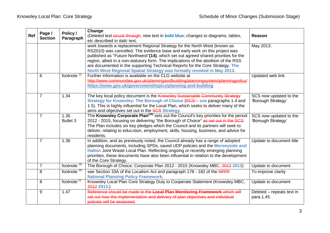| Ref | Page /<br><b>Section</b> | Policy /<br>Paragraph   | Change<br>(Deleted text struck through; new text in <b>bold blue</b> ; changes to diagrams, tables,<br>etc described in <i>italic</i> text.                                                                                                                                                                                                                                                                                                                                                        | Reason                                       |
|-----|--------------------------|-------------------------|----------------------------------------------------------------------------------------------------------------------------------------------------------------------------------------------------------------------------------------------------------------------------------------------------------------------------------------------------------------------------------------------------------------------------------------------------------------------------------------------------|----------------------------------------------|
|     |                          |                         | work towards a replacement Regional Strategy for the North West (known as<br>RS2010) was cancelled. The evidence base and early work on this project was<br>published as "Future Northwest"(14), which set out agreed shared priorities for the<br>region, albeit in a non-statutory form. The implications of the abolition of the RSS<br>are documented in the supporting Technical Reports for the Core Strategy. The<br>North West Regional Spatial Strategy was formally revoked in May 2013. | May 2013.                                    |
|     | 6                        | footnote $12$           | Further information is available on the CLG website at<br>http://www.communities.gov.uk/planningandbuilding/planningsystem/planningpolicy/<br>https://www.gov.uk/government/topics/planning-and-building                                                                                                                                                                                                                                                                                           | Updated web link                             |
|     | 7                        | 1.34                    | The key local policy document is the Knowsley Sustainable Community Strategy<br>Strategy for Knowsley: The Borough of Choice (SCS - see paragraphs 1.4 and<br>1.5). This is highly influential for the Local Plan, which seeks to deliver many of the<br>aims and objectives set out in the SCS Strategy.                                                                                                                                                                                          | SCS now updated to the<br>'Borough Strategy' |
|     | $\overline{7}$           | 1.35<br><b>Bullet 3</b> | The Knowsley Corporate Plan <sup>(18)</sup> sets out the Council's key priorities for the period<br>2012 - 2015, focusing on delivering "the Borough of Choice" as set out in the SCS.<br>The Plan includes six key pledges which the Council and its partners will seek to<br>deliver, relating to education, employment, skills, housing, business, and advice for<br>residents.                                                                                                                 | SCS now updated to the<br>'Borough Strategy' |
|     | $\overline{7}$           | 1.36                    | In addition, and as previously noted, the Council already has a range of adopted<br>planning documents, including SPDs, saved UDP policies and the Merseyside and<br>Halton Joint Waste Local Plan. Reflecting ongoing or recently emerging planning<br>priorities, these documents have also been influential in relation to the development<br>of the Core Strategy.                                                                                                                             | Update to document title                     |
|     | $\overline{7}$           | footnote <sup>18</sup>  | The Borough of Choice: Corporate Plan 2012 - 2015 (Knowsley MBC, 2012 2013)                                                                                                                                                                                                                                                                                                                                                                                                                        | Update to document                           |
|     | 8                        | footnote <sup>20</sup>  | see Section 33A of the Localism Act and paragraph 178 - 182 of the NPPF<br><b>National Planning Policy Framework.</b>                                                                                                                                                                                                                                                                                                                                                                              | To improve clarity                           |
|     | 8                        | footnote <sup>21</sup>  | Knowsley Local Plan Core Strategy Duty to Cooperate Statement (Knowsley MBC,<br>2012 2013.)                                                                                                                                                                                                                                                                                                                                                                                                        | Update to document                           |
|     | 9                        | 1.47                    | Reference should be made to the Local Plan Monitoring Framework which will<br>set out how the implementation and delivery of plan objectives and individual<br>policies will be assessed.                                                                                                                                                                                                                                                                                                          | Deleted - repeats text in<br>para.1.45.      |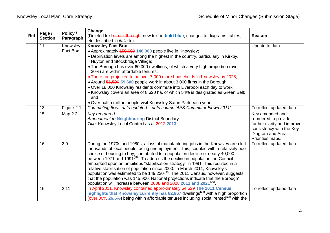|     |                          | Policy /   | Change                                                                                                                                                                     |                             |
|-----|--------------------------|------------|----------------------------------------------------------------------------------------------------------------------------------------------------------------------------|-----------------------------|
| Ref | Page /<br><b>Section</b> |            | (Deleted text struck through; new text in <b>bold blue</b> ; changes to diagrams, tables,                                                                                  | Reason                      |
|     |                          | Paragraph  | etc described in <i>italic</i> text.                                                                                                                                       |                             |
|     | 11                       | Knowsley   | <b>Knowsley Fact Box</b>                                                                                                                                                   | Update to data              |
|     |                          | Fact Box   | • Approximately 450,000 146,000 people live in Knowsley;                                                                                                                   |                             |
|     |                          |            | • Deprivation levels are among the highest in the country, particularly in Kirkby,<br>Huyton and Stockbridge Village;                                                      |                             |
|     |                          |            | . The Borough has over 60,000 dwellings, of which a very high proportion (over<br>30%) are within affordable tenures;                                                      |                             |
|     |                          |            | • There are projected to be over 7,000 more households in Knowsley by 2028;                                                                                                |                             |
|     |                          |            | • Around 56,500 59,600 people work in about 3,000 firms in the Borough;                                                                                                    |                             |
|     |                          |            | . Over 18,000 Knowsley residents commute into Liverpool each day to work;                                                                                                  |                             |
|     |                          |            | • Knowsley covers an area of 8,620 ha, of which 54% is designated as Green Belt;<br>and                                                                                    |                             |
|     |                          |            | . Over half a million people visit Knowsley Safari Park each year.                                                                                                         |                             |
|     | 13                       | Figure 2.1 | Commuting flows data updated - data source 'APS Commuter Flows 2011'                                                                                                       | To reflect updated data     |
|     | 15                       | Map 2.2    | Key reordered.                                                                                                                                                             | Key amended and             |
|     |                          |            | Amendment to Neighbouring District Boundary.                                                                                                                               | reordered to provide        |
|     |                          |            | Title: Knowsley Local Context as at 2012 2013.                                                                                                                             | further clarity and improve |
|     |                          |            |                                                                                                                                                                            | consistency with the Key    |
|     |                          |            |                                                                                                                                                                            | Diagram and Area            |
|     |                          |            |                                                                                                                                                                            | Priorities maps.            |
|     | 16                       | 2.9        | During the 1970s and 1980s, a loss of manufacturing jobs in the Knowsley area left                                                                                         | To reflect updated data     |
|     |                          |            | thousands of local people facing unemployment. This, coupled with a relatively poor                                                                                        |                             |
|     |                          |            | choice of housing to buy, contributed to a population decline of nearly 40,000<br>between 1971 and 1991 <sup>(28)</sup> . To address the decline in population the Council |                             |
|     |                          |            | embarked upon an ambitious "stabilisation strategy" in 1991. This resulted in a                                                                                            |                             |
|     |                          |            | relative stabilisation of population since 2000. In March 2011, Knowsley's                                                                                                 |                             |
|     |                          |            | population was estimated to be 149,230 <sup>(29)</sup> . The 2011 Census, however, suggests                                                                                |                             |
|     |                          |            | that the population was 145,900. National projections indicate that the Borough'                                                                                           |                             |
|     |                          |            | population will increase between 2008 and 2028 2011 and 2021 <sup>(30)</sup> .                                                                                             |                             |
|     | 16                       | 2.11       | In April 2011, Knowsley contained approximately 64,629 The 2011 Census                                                                                                     | To reflect updated data     |
|     |                          |            | highlights that Knowsley currently has 62,967 dwellings <sup>(32)</sup> with a high proportion                                                                             |                             |
|     |                          |            | (over 30% 26.6%) being within affordable tenures including social rented <sup>(33)</sup> with the                                                                          |                             |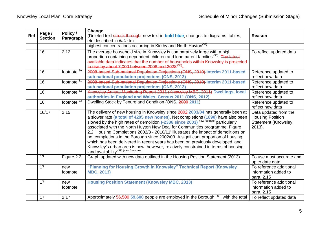| Ref | Page /<br><b>Section</b> | Policy /<br>Paragraph | Change<br>(Deleted text struck through; new text in <b>bold blue</b> ; changes to diagrams, tables,<br>etc described in <i>italic</i> text.                                                                                                                                                                                                                                                                                                                                                                                                                                                                                                                                                                                                | Reason                                                                                |
|-----|--------------------------|-----------------------|--------------------------------------------------------------------------------------------------------------------------------------------------------------------------------------------------------------------------------------------------------------------------------------------------------------------------------------------------------------------------------------------------------------------------------------------------------------------------------------------------------------------------------------------------------------------------------------------------------------------------------------------------------------------------------------------------------------------------------------------|---------------------------------------------------------------------------------------|
|     |                          |                       | highest concentrations occurring in Kirkby and North Huyton <sup>(34)</sup> .                                                                                                                                                                                                                                                                                                                                                                                                                                                                                                                                                                                                                                                              |                                                                                       |
|     | 16                       | 2.12                  | The average household size in Knowsley is comparatively large with a high<br>proportion containing dependent children and lone parent families <sup>(35)</sup> . The latest<br>available data indicates that the number of households within Knowsley is projected<br>to rise by about 7,000 between 2008 and 2028 <sup>(36)</sup>                                                                                                                                                                                                                                                                                                                                                                                                         | To reflect updated data                                                               |
|     | 16                       | footnote $30$         | 2008-based Sub-national Population Projections (ONS, 2010) Interim 2011-based<br>sub national population projections (ONS, 2013)                                                                                                                                                                                                                                                                                                                                                                                                                                                                                                                                                                                                           | Reference updated to<br>reflect new data                                              |
|     | 16                       | footnote $31$         | 2008-based Sub-national Population Projections (ONS, 2010) Interim 2011-based<br>sub national population projections (ONS, 2013)                                                                                                                                                                                                                                                                                                                                                                                                                                                                                                                                                                                                           | Reference updated to<br>reflect new data                                              |
|     | 16                       | footnote $32$         | Knowsley Annual Monitoring Report 2011 (Knowsley MBC, 2011) Dwellings, local<br>authorities in England and Wales, Census 2011 (ONS, 2012)                                                                                                                                                                                                                                                                                                                                                                                                                                                                                                                                                                                                  | Reference updated to<br>reflect new data                                              |
|     | 16                       | footnote $33$         | Dwelling Stock by Tenure and Condition (ONS, 2009 2011)                                                                                                                                                                                                                                                                                                                                                                                                                                                                                                                                                                                                                                                                                    | Reference updated to<br>reflect new data                                              |
|     | 16/17                    | 2.15                  | The delivery of new housing in Knowsley since 2002 2003/04 has generally been at<br>a slower rate (a total of 4205 new homes). Net completions (1890) have also been<br>slowed by the high rates of demolition (-2386 since 2003) new footnote particularly<br>associated with the North Huyton New Deal for Communities programme. Figure<br>2.2 'Housing Completions 2002/3 - 2010/11' illustrates the impact of demolitions on<br>net completions in the Borough since 2002/03. A significant proportion of housing<br>which has been delivered in recent years has been on previously developed land.<br>Knowsley's urban area is now, however, relatively constrained in terms of housing<br>land availability $(39)$ (new footnote). | Data updated from the<br><b>Housing Position</b><br>Statement (Knowsley,<br>$2013$ ). |
|     | 17                       | Figure 2.2            | Graph updated with new data outlined in the Housing Position Statement (2013).                                                                                                                                                                                                                                                                                                                                                                                                                                                                                                                                                                                                                                                             | To use most accurate and<br>up to date data                                           |
|     | 17                       | new<br>footnote       | "Planning for Housing Growth in Knowsley" Technical Report (Knowsley<br><b>MBC, 2013)</b>                                                                                                                                                                                                                                                                                                                                                                                                                                                                                                                                                                                                                                                  | To reference additional<br>information added to<br>para. 2.15                         |
|     | 17                       | new<br>footnote       | <b>Housing Position Statement (Knowsley MBC, 2013)</b>                                                                                                                                                                                                                                                                                                                                                                                                                                                                                                                                                                                                                                                                                     | To reference additional<br>information added to<br>para. 2.15                         |
|     | 17                       | 2.17                  | Approximately 56,500 59,600 people are employed in the Borough <sup>(41)</sup> , with the total                                                                                                                                                                                                                                                                                                                                                                                                                                                                                                                                                                                                                                            | To reflect updated data                                                               |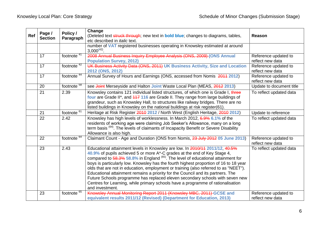| Ref | Page /<br><b>Section</b> | Policy /<br>Paragraph    | Change<br>(Deleted text struck through; new text in <b>bold blue</b> ; changes to diagrams, tables,<br>etc described in <i>italic</i> text.                                                                                                                                                                                                                                                                                                                                                                                                                                                                                                                                                                       | <b>Reason</b>                            |
|-----|--------------------------|--------------------------|-------------------------------------------------------------------------------------------------------------------------------------------------------------------------------------------------------------------------------------------------------------------------------------------------------------------------------------------------------------------------------------------------------------------------------------------------------------------------------------------------------------------------------------------------------------------------------------------------------------------------------------------------------------------------------------------------------------------|------------------------------------------|
|     |                          |                          | number of VAT registered businesses operating in Knowsley estimated at around<br>$3,000^{(42)}$ .                                                                                                                                                                                                                                                                                                                                                                                                                                                                                                                                                                                                                 |                                          |
|     | 17                       | footnote $41$            | 2008 Annual Business Inquiry Employee Analysis (ONS, 2009) (ONS Annual<br><b>Population Survey, 2012)</b>                                                                                                                                                                                                                                                                                                                                                                                                                                                                                                                                                                                                         | Reference updated to<br>reflect new data |
|     | 17                       | footnote $42$            | UK Business Activity Data (ONS, 2011) UK Business Activity, Size and Location<br>2012 (ONS, 2012)                                                                                                                                                                                                                                                                                                                                                                                                                                                                                                                                                                                                                 | Reference updated to<br>reflect new data |
|     | 17                       | footnote <sup>44</sup>   | Annual Survey of Hours and Earnings (ONS, accessed from Nomis 2011 2012)                                                                                                                                                                                                                                                                                                                                                                                                                                                                                                                                                                                                                                          | Reference updated to<br>reflect new data |
|     | 20                       | footnote $58$            | see Joint Merseyside and Halton Joint Waste Local Plan (MEAS, 2012 2013)                                                                                                                                                                                                                                                                                                                                                                                                                                                                                                                                                                                                                                          | Update to document title                 |
|     | 21                       | 2.39                     | Knowsley contains 121 individual listed structures, of which one is Grade I, three<br>four are Grade II*, and 447 116 are Grade II. They range from large buildings of<br>grandeur, such as Knowsley Hall, to structures like railway bridges. There are no<br>listed buildings in Knowsley on the national buildings at risk register(61).                                                                                                                                                                                                                                                                                                                                                                       | To reflect updated data                  |
|     | 21                       | footnote $6\overline{1}$ | Heritage at Risk Register 2010 2012 / North West (English Heritage, 2010 2012)                                                                                                                                                                                                                                                                                                                                                                                                                                                                                                                                                                                                                                    | Update to reference                      |
|     | 22                       | 2.42                     | Knowsley has high levels of worklessness. In March 2012, 6.9% 6.1% of the<br>residents of working age were claiming Job Seeker's Allowance, many on a long<br>term basis (64). The levels of claimants of Incapacity Benefit or Severe Disability<br>Allowance is also high.                                                                                                                                                                                                                                                                                                                                                                                                                                      | To reflect updated data                  |
|     | 22                       | footnote $64$            | Claimant Count - Age and Duration (ONS from Nomis, 23 July 2012 05 June 2013)                                                                                                                                                                                                                                                                                                                                                                                                                                                                                                                                                                                                                                     | Reference updated to<br>reflect new data |
|     | 23                       | 2.43                     | Educational attainment levels in Knowsley are low. In 2010/11 2011/12, 40.5%<br>40.9% of pupils achieved 5 or more A*-C grades at the end of Key Stage 4,<br>compared to $58.3\%$ 58.8% in England $^{(65)}$ . The level of educational attainment for<br>boys is particularly low. Knowsley has the fourth highest proportion of 16 to 18 year<br>olds that are not in education, employment or training (also referred to as "NEET").<br>Educational attainment remains a priority for the Council and its partners. The<br>Future Schools programme has replaced eleven secondary schools with seven new<br>Centres for Learning, while primary schools have a programme of rationalisation<br>and investment. | To reflect updated data                  |
|     | 23                       | footnote $65$            | Knowsley Annual Monitoring Report 2011 (Knowsley MBC, 2011) GCSE and<br>equivalent results 2011/12 (Revised) (Department for Education, 2013)                                                                                                                                                                                                                                                                                                                                                                                                                                                                                                                                                                     | Reference updated to<br>reflect new data |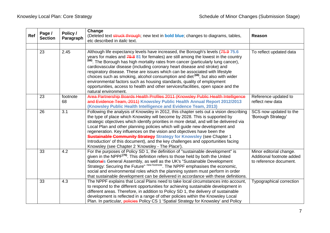| Ref | Page /<br><b>Section</b> | Reason         |                                                                                                                                                                                                                                                                                                                                                                                                                                                                                                                                                                                                                                                                                                                           |                                                                                |
|-----|--------------------------|----------------|---------------------------------------------------------------------------------------------------------------------------------------------------------------------------------------------------------------------------------------------------------------------------------------------------------------------------------------------------------------------------------------------------------------------------------------------------------------------------------------------------------------------------------------------------------------------------------------------------------------------------------------------------------------------------------------------------------------------------|--------------------------------------------------------------------------------|
|     |                          |                |                                                                                                                                                                                                                                                                                                                                                                                                                                                                                                                                                                                                                                                                                                                           |                                                                                |
|     | 23                       | 2.45           | Although life expectancy levels have increased, the Borough's levels (75.9 75.6<br>years for males and 79.8 81 for females) are still among the lowest in the country<br><sup>(68)</sup> . The Borough has high mortality rates from cancer (particularly lung cancer),<br>cardiovascular disease (including coronary heart disease and stroke) and<br>respiratory disease. These are issues which can be associated with lifestyle<br>choices such as smoking, alcohol consumption and diet <sup>(69)</sup> , but also with wider<br>environmental factors such as housing standards, quality of employment<br>opportunities, access to health and other services/facilities, open space and the<br>natural environment. | To reflect updated data                                                        |
|     | 23                       | footnote<br>68 | Area Partnership Boards Health Profiles 2011 (Knowsley Public Health Intelligence<br>and Evidence Team, 2011) Knowsley Public Health Annual Report 2012/2013<br>(Knowsley Public Health Intelligence and Evidence Team, 2013)                                                                                                                                                                                                                                                                                                                                                                                                                                                                                             | Reference updated to<br>reflect new data                                       |
|     | 26                       | 3.1            | Following the analysis of Knowsley in 2012, this chapter sets out a vision describing<br>the type of place which Knowsley will become by 2028. This is supported by<br>strategic objectives which identify priorities in more detail, and will be delivered via<br>Local Plan and other planning policies which will guide new development and<br>regeneration. Key influences on the vision and objectives have been the<br><b>Sustainable Community Strategy</b> Strategy for Knowsley (see Chapter 1<br>Introduction' of this document), and the key challenges and opportunities facing<br>Knowsley (see Chapter 2 'Knowsley - The Place').                                                                           | SCS now updated to the<br>'Borough Strategy'                                   |
|     | 33                       | 4.2            | For the purposes of Policy SD 1, the definition of "sustainable development" is<br>given in the NPPF <sup>(70)</sup> . This definition refers to those held by both the United<br>Nationals General Assembly, as well as the UK's "Sustainable Development<br>Strategy: Securing the Future" new footnote. The NPPF emphasises the economic,<br>social and environmental roles which the planning system must perform in order<br>that sustainable development can be delivered in accordance with these definitions.                                                                                                                                                                                                     | Minor editorial change.<br>Additional footnote added<br>to reference document. |
|     | 33                       | 4.3            | The NPPF explains that Local Plans need to take local circumstances into account,<br>to respond to the different opportunities for achieving sustainable development in<br>different areas. Therefore, in addition to Policy SD 1, the delivery of sustainable<br>development is reflected in a range of other policies within the Knowsley Local<br>Plan. In particular, policies Policy CS 1 'Spatial Strategy for Knowsley' and Policy                                                                                                                                                                                                                                                                                 | Typographical correction                                                       |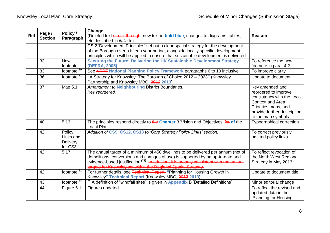| Ref | Page /<br><b>Section</b> | Policy /<br>Paragraph                      | Change<br>(Deleted text struck through; new text in <b>bold blue</b> ; changes to diagrams, tables,                                                                                                                                                                                                                                           | <b>Reason</b>                                                                                                                                                                  |
|-----|--------------------------|--------------------------------------------|-----------------------------------------------------------------------------------------------------------------------------------------------------------------------------------------------------------------------------------------------------------------------------------------------------------------------------------------------|--------------------------------------------------------------------------------------------------------------------------------------------------------------------------------|
|     |                          |                                            | etc described in <i>italic</i> text.<br>CS 2 'Development Principles' set out a clear spatial strategy for the development<br>of the Borough over a fifteen year period, alongside locally specific development                                                                                                                               |                                                                                                                                                                                |
|     |                          |                                            | principles which will be applied to ensure that sustainable development is delivered.                                                                                                                                                                                                                                                         |                                                                                                                                                                                |
|     | 33                       | <b>New</b><br>footnote                     | Securing the Future: Delivering the UK Sustainable Development Strategy<br>(DEFRA, 2005)                                                                                                                                                                                                                                                      | To reference the new<br>footnote in para. 4.2                                                                                                                                  |
|     | 33                       | footnote $70$                              | See NPPF National Planning Policy Framework paragraphs 6 to 10 inclusive                                                                                                                                                                                                                                                                      | To improve clarity                                                                                                                                                             |
|     | 36                       | footnote <sup>71</sup>                     | "A Strategy for Knowsley: The Borough of Choice 2012 - 2023" (Knowsley<br>Partnership and Knowsley MBC, 2012 2013)                                                                                                                                                                                                                            | Update to document                                                                                                                                                             |
|     | 37                       | Map 5.1                                    | Amendment to Neighbouring District Boundaries.<br>Key reordered.                                                                                                                                                                                                                                                                              | Key amended and<br>reordered to improve<br>consistency with the Local<br><b>Context and Area</b><br>Priorities maps, and<br>provide further description<br>to the map symbols. |
|     | 40                       | 5.13                                       | The principles respond directly to the Chapter 3 'Vision and Objectives' for of the<br>Local Plan.                                                                                                                                                                                                                                            | Typographical correction                                                                                                                                                       |
|     | 42                       | Policy<br>Links and<br>Delivery<br>for CS3 | Addition of CS9, CS12, CS13 to 'Core Strategy Policy Links' section.                                                                                                                                                                                                                                                                          | To correct previously<br>omitted policy links                                                                                                                                  |
|     | 42                       | 5.17                                       | The annual target of a minimum of 450 dwellings to be delivered per annum (net of<br>demolitions, conversions and changes of use) is supported by an up-to-date and<br>evidence-based justification <sup>(73)</sup> . In addition, it is broadly consistent with the annual<br>targets for Knowsley set within the Regional Spatial Strategy. | To reflect revocation of<br>the North West Regional<br>Strategy in May 2013.                                                                                                   |
|     | 42                       | footnote $\frac{73}{3}$                    | For further details, see Technical Report: "Planning for Housing Growth in<br>Knowsley" Technical Report (Knowsley MBC, 2012 2013)                                                                                                                                                                                                            | Update to document title                                                                                                                                                       |
|     | 43                       | footnote $74$                              | <sup>74</sup> A definition of "windfall sites" is given in Appendix B 'Detailed Definitions'                                                                                                                                                                                                                                                  | Minor editorial change                                                                                                                                                         |
|     | 44                       | Figure 5.1                                 | Figures updated.                                                                                                                                                                                                                                                                                                                              | To reflect the revised and<br>updated data in the<br>'Planning for Housing                                                                                                     |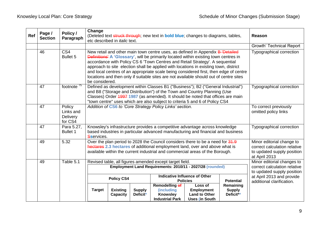| Ref | Page /<br><b>Section</b> | Policy /<br>Paragraph                      | Change                                                                                                               | (Deleted text struck through; new text in <b>bold blue</b> ; changes to diagrams, tables,<br>etc described in <i>italic</i> text.                                                                                                                                                                                                                                                                                                                                                                                                        | <b>Reason</b>                                                                                            |                                                                           |                                                                                                                                                                 |                                         |                                                                                          |
|-----|--------------------------|--------------------------------------------|----------------------------------------------------------------------------------------------------------------------|------------------------------------------------------------------------------------------------------------------------------------------------------------------------------------------------------------------------------------------------------------------------------------------------------------------------------------------------------------------------------------------------------------------------------------------------------------------------------------------------------------------------------------------|----------------------------------------------------------------------------------------------------------|---------------------------------------------------------------------------|-----------------------------------------------------------------------------------------------------------------------------------------------------------------|-----------------------------------------|------------------------------------------------------------------------------------------|
|     |                          |                                            |                                                                                                                      |                                                                                                                                                                                                                                                                                                                                                                                                                                                                                                                                          | Growth' Technical Report                                                                                 |                                                                           |                                                                                                                                                                 |                                         |                                                                                          |
|     | 46                       | CS4<br>Bullet <sub>5</sub>                 | be considered.                                                                                                       | New retail and other main town centre uses, as defined in Appendix B Detailed<br><b>Definitions' A 'Glossary'</b> , will be primarily located within existing town centres in<br>accordance with Policy CS 6 'Town Centres and Retail Strategy'. A sequential<br>approach to site election shall be applied with locations in existing town, district<br>and local centres of an appropriate scale being considered first, then edge of centre<br>locations and then only if suitable sites are not available should out of centre sites | Typographical correction                                                                                 |                                                                           |                                                                                                                                                                 |                                         |                                                                                          |
|     | 47                       | footnote $75$                              |                                                                                                                      | Defined as development within Classes B1 ("Business"); B2 ("General Industrial")<br>and B8 ("Storage and Distribution") of the Town and Country Planning (Use<br>Classes) Order 4997 1987 (as amended). It should be noted that offices are main<br>"town centre" uses which are also subject to criteria 5 and 6 of Policy CS4                                                                                                                                                                                                          | <b>Typographical correction</b>                                                                          |                                                                           |                                                                                                                                                                 |                                         |                                                                                          |
|     | 47                       | Policy<br>Links and<br>Delivery<br>for CS4 |                                                                                                                      |                                                                                                                                                                                                                                                                                                                                                                                                                                                                                                                                          |                                                                                                          | Addition of CS6 to 'Core Strategy Policy Links' section.                  |                                                                                                                                                                 |                                         | To correct previously<br>omitted policy links                                            |
|     | 47                       | Para 5.27,<br><b>Bullet 1</b>              | Sservices.                                                                                                           |                                                                                                                                                                                                                                                                                                                                                                                                                                                                                                                                          |                                                                                                          |                                                                           | Knowsley's infrastructure provides a competitive advantage across knowledge<br>based industries in particular advanced manufacturing and financial and business |                                         | Typographical correction                                                                 |
|     | 49                       | 5.32                                       |                                                                                                                      | Over the plan period to 2028 the Council considers there to be a need for 31.9<br>hectares 2.3 hectares of additional employment land, over and above what is<br>available within the current industrial and commercial areas of the Borough.                                                                                                                                                                                                                                                                                            | Minor editorial change to<br>correct calculation relative<br>to updated supply position<br>at April 2013 |                                                                           |                                                                                                                                                                 |                                         |                                                                                          |
|     | 49                       | Table 5.1                                  | Revised table, all figures amended except target field.<br>Employment Land Requirements: 2010/11 - 2027/28 (rounded) |                                                                                                                                                                                                                                                                                                                                                                                                                                                                                                                                          |                                                                                                          |                                                                           |                                                                                                                                                                 |                                         | Minor editorial changes to<br>correct calculation relative<br>to updated supply position |
|     |                          |                                            | <b>Indicative Influence of Other</b><br><b>Policy CS4</b><br><b>Potential</b><br><b>Policies</b>                     |                                                                                                                                                                                                                                                                                                                                                                                                                                                                                                                                          |                                                                                                          |                                                                           |                                                                                                                                                                 |                                         | at April 2013 and provide<br>additional clarification.                                   |
|     |                          |                                            | <b>Target</b>                                                                                                        | <b>Existing</b><br><b>Capacity</b>                                                                                                                                                                                                                                                                                                                                                                                                                                                                                                       | <b>Supply</b><br>Deficit*                                                                                | Remodelling of<br>(including<br><b>Knowsley</b><br><b>Industrial Park</b> | Loss of<br><b>Employment</b><br><b>Land to Other</b><br><b>Uses (in South</b>                                                                                   | Remaining<br><b>Supply</b><br>Deficit** |                                                                                          |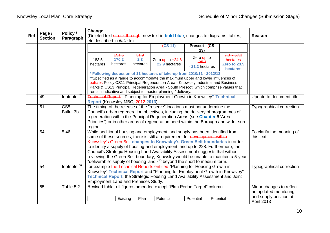| Ref | Page /         | Policy /                            | Change            |                                                                                                                                                                                                                                                                                                                   |                                                                                                                                                                                                                                                                                                                                     | (Deleted text struck through; new text in <b>bold blue</b> ; changes to diagrams, tables, |                                          |                                                      | Reason                                                                                           |
|-----|----------------|-------------------------------------|-------------------|-------------------------------------------------------------------------------------------------------------------------------------------------------------------------------------------------------------------------------------------------------------------------------------------------------------------|-------------------------------------------------------------------------------------------------------------------------------------------------------------------------------------------------------------------------------------------------------------------------------------------------------------------------------------|-------------------------------------------------------------------------------------------|------------------------------------------|------------------------------------------------------|--------------------------------------------------------------------------------------------------|
|     | <b>Section</b> | Paragraph                           |                   | etc described in <i>italic</i> text.                                                                                                                                                                                                                                                                              |                                                                                                                                                                                                                                                                                                                                     |                                                                                           |                                          |                                                      |                                                                                                  |
|     |                |                                     |                   |                                                                                                                                                                                                                                                                                                                   |                                                                                                                                                                                                                                                                                                                                     | $-$ (CS 11)                                                                               | Prescot - (CS<br>13)                     |                                                      |                                                                                                  |
|     |                |                                     | 183.5<br>hectares | 451.6<br>170.2<br>hectares                                                                                                                                                                                                                                                                                        | 34.9<br>2.3<br>hectares                                                                                                                                                                                                                                                                                                             | Zero $\frac{\text{up}}{\text{up}}$ to $+24.6$<br>$+22.9$ hectares                         | Zero up to<br>$-25.4$<br>- 21.2 hectares | $7.3 - 57.3$<br>hectares<br>Zero to 23.5<br>hectares |                                                                                                  |
|     |                |                                     |                   | * Following deduction of 11 hectares of take-up from 2010/11 - 2012/13<br>** Specified as a range to accommodate the maximum upper and lower influences of<br>policies-Policy CS11 Principal Regeneration Area - Knowsley Industrial and Business<br>remain indicative and subject to master planning / delivery. | Parks & CS13 Principal Regeneration Area - South Prescot, which comprise values that                                                                                                                                                                                                                                                |                                                                                           |                                          |                                                      |                                                                                                  |
|     | 49             | footnote $82$                       |                   | Technical Report: "Planning for Employment Growth in Knowsley" Technical<br>Report (Knowsley MBC, 2012 2013)                                                                                                                                                                                                      |                                                                                                                                                                                                                                                                                                                                     | Update to document title                                                                  |                                          |                                                      |                                                                                                  |
|     | 51             | CS <sub>5</sub><br><b>Bullet 3b</b> | region;           | The timing of the release of the "reserve" locations must not undermine the<br>regeneration within the Principal Regeneration Areas (see Chapter 6 'Area                                                                                                                                                          | Council's urban regeneration objectives, including the delivery of programmes of<br>Priorities') or in other areas of regeneration need within the Borough and wider sub-                                                                                                                                                           | <b>Typographical correction</b>                                                           |                                          |                                                      |                                                                                                  |
|     | 54             | 5.46                                |                   | While additional housing and employment land supply has been identified from<br>some of these sources, there is still a requirement for development within<br>"deliverable" supply of housing land <sup>(87)</sup> beyond the short to medium term.                                                               | Knowsley's Green Belt changes to Knowsley's Green Belt boundaries in order<br>to identify a supply of housing and employment land up to 228. Furthermore, the<br>Council's Strategic Housing Land Availability Assessment suggests that without<br>reviewing the Green Belt boundary, Knowsley would be unable to maintain a 5-year | To clarify the meaning of<br>this text.                                                   |                                          |                                                      |                                                                                                  |
|     | 54             | footnote <sup>86</sup>              |                   | for example the Technical Reports entitled "Planning for Housing Growth in<br>Knowsley" Technical Report and "Planning for Employment Growth in Knowsley"<br>Technical Report, the Strategic Housing Land Availability Assessment and Joint<br><b>Employment Land and Premises Study.</b>                         | <b>Typographical correction</b>                                                                                                                                                                                                                                                                                                     |                                                                                           |                                          |                                                      |                                                                                                  |
|     | 55             | Table 5.2                           |                   | Existing                                                                                                                                                                                                                                                                                                          | Plan                                                                                                                                                                                                                                                                                                                                | Revised table, all figures amended except "Plan Period Target" column.<br>Potential       | Potential                                | Potential                                            | Minor changes to reflect<br>an updated monitoring<br>and supply position at<br><b>April 2013</b> |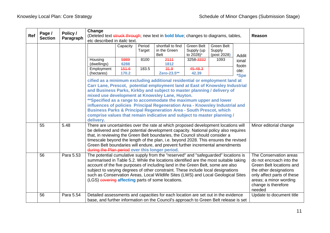|     |                |                                                                                                                                                                                                                                                                                                                                                                                                                                                                                                                                                                                                                         | Change                                                                                    |                                                                                                                                                                                                                                                                                                                                                                                                                                                                                             |                          |                                                                                                                                                                           |                                                    |                                             |                                                                                                                                                                                                   |                          |
|-----|----------------|-------------------------------------------------------------------------------------------------------------------------------------------------------------------------------------------------------------------------------------------------------------------------------------------------------------------------------------------------------------------------------------------------------------------------------------------------------------------------------------------------------------------------------------------------------------------------------------------------------------------------|-------------------------------------------------------------------------------------------|---------------------------------------------------------------------------------------------------------------------------------------------------------------------------------------------------------------------------------------------------------------------------------------------------------------------------------------------------------------------------------------------------------------------------------------------------------------------------------------------|--------------------------|---------------------------------------------------------------------------------------------------------------------------------------------------------------------------|----------------------------------------------------|---------------------------------------------|---------------------------------------------------------------------------------------------------------------------------------------------------------------------------------------------------|--------------------------|
| Ref | Page /         | Policy /                                                                                                                                                                                                                                                                                                                                                                                                                                                                                                                                                                                                                | (Deleted text struck through; new text in <b>bold blue</b> ; changes to diagrams, tables, |                                                                                                                                                                                                                                                                                                                                                                                                                                                                                             |                          |                                                                                                                                                                           |                                                    |                                             |                                                                                                                                                                                                   | <b>Reason</b>            |
|     | <b>Section</b> | Paragraph                                                                                                                                                                                                                                                                                                                                                                                                                                                                                                                                                                                                               | etc described in <i>italic</i> text.                                                      |                                                                                                                                                                                                                                                                                                                                                                                                                                                                                             |                          |                                                                                                                                                                           |                                                    |                                             |                                                                                                                                                                                                   |                          |
|     |                |                                                                                                                                                                                                                                                                                                                                                                                                                                                                                                                                                                                                                         | Housing<br>(dwellings)                                                                    | Capacity<br>5989<br>6288                                                                                                                                                                                                                                                                                                                                                                                                                                                                    | Period<br>Target<br>8100 | shortfall to find<br>in the Green<br><b>Belt</b><br>2111<br>1812                                                                                                          | Green Belt<br>Supply (up<br>to 2028)*<br>3258-3332 | Green Belt<br>Supply<br>(post 2028)<br>1093 | Addit<br>ional                                                                                                                                                                                    |                          |
|     |                |                                                                                                                                                                                                                                                                                                                                                                                                                                                                                                                                                                                                                         | Employment<br>(hectares)                                                                  | 151.6<br>170.2                                                                                                                                                                                                                                                                                                                                                                                                                                                                              | 183.5                    | 34.9<br>Zero-23.5**                                                                                                                                                       | 45-48.3<br>42.39                                   |                                             | footn<br>ote:<br><i><b>*Spe</b></i>                                                                                                                                                               |                          |
|     |                | cified as a minimum excluding additional residential or employment land at<br>Carr Lane, Prescot, potential employment land at East of Knowsley Industrial<br>and Business Parks, Kirkby and subject to master planning / delivery of<br>mixed use development at Knowsley Lane, Huyton.<br>**Specified as a range to accommodate the maximum upper and lower<br>influences of policies Principal Regeneration Area - Knowsley Industrial and<br><b>Business Parks &amp; Principal Regeneration Area - South Prescot, which</b><br>comprise values that remain indicative and subject to master planning /<br>delivery. |                                                                                           |                                                                                                                                                                                                                                                                                                                                                                                                                                                                                             |                          |                                                                                                                                                                           |                                                    |                                             |                                                                                                                                                                                                   |                          |
|     | 55             | 5.48                                                                                                                                                                                                                                                                                                                                                                                                                                                                                                                                                                                                                    |                                                                                           | There are uncertainties over the rate at which proposed development locations will<br>be delivered and their potential development capacity. National policy also requires<br>that, in reviewing the Green Belt boundaries, the Council should consider a<br>timescale beyond the length of the plan, i.e. beyond 2028. This ensures the revised<br>Green Belt boundaries will endure, and prevent further incremental amendments<br>during the Plan period over this longer period.        |                          |                                                                                                                                                                           |                                                    |                                             |                                                                                                                                                                                                   | Minor editorial change   |
|     | 56             | Para 5.53                                                                                                                                                                                                                                                                                                                                                                                                                                                                                                                                                                                                               |                                                                                           | The potential cumulative supply from the "reserved" and "safeguarded" locations is<br>summarised in Table 5.2. While the locations identified are the most suitable taking<br>account of the five purposes of including land in the Green Belt, some are also<br>subject to varying degrees of other constraint. These include local designations<br>such as Conservation Areas, Local Wildlife Sites (LWS) and Local Geological Sites<br>(LGS) covering affecting parts of some locations. |                          |                                                                                                                                                                           |                                                    |                                             | The Conservation areas<br>do not encroach into the<br>Green Belt locations and<br>the other designations<br>only affect parts of these<br>areas; a minor wording<br>change is therefore<br>needed |                          |
|     | 56             | Para 5.54                                                                                                                                                                                                                                                                                                                                                                                                                                                                                                                                                                                                               |                                                                                           |                                                                                                                                                                                                                                                                                                                                                                                                                                                                                             |                          | Detailed assessments and capacities for each location are set out in the evidence<br>base, and further information on the Council's approach to Green Belt release is set |                                                    |                                             |                                                                                                                                                                                                   | Update to document title |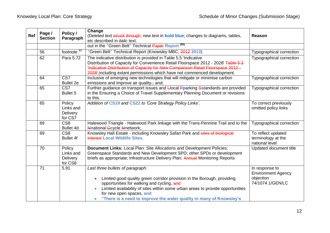| Ref                                       | Page /<br><b>Section</b>                         | Policy /<br>Paragraph                      | Change<br>(Deleted text struck through; new text in <b>bold blue</b> ; changes to diagrams, tables,<br>etc described in <i>italic</i> text.                                                                                                                                                                                                                 | Reason                                                                       |
|-------------------------------------------|--------------------------------------------------|--------------------------------------------|-------------------------------------------------------------------------------------------------------------------------------------------------------------------------------------------------------------------------------------------------------------------------------------------------------------------------------------------------------------|------------------------------------------------------------------------------|
|                                           |                                                  |                                            |                                                                                                                                                                                                                                                                                                                                                             |                                                                              |
|                                           | 56                                               | footnote $93$                              | "Green Belt" Technical Report (Knowsley MBC, 2012 2013)                                                                                                                                                                                                                                                                                                     | Typographical correction                                                     |
|                                           | 62                                               | Para 5.72                                  | The indicative distribution is provided in Table 5.5 'Indicative<br>Distribution of Capacity for Convenience Retail Floorspace 2012 - 2028' Table 5.3<br>Indicative Distribution of Capacity for New Comparison Retail Floorspace 2012 -<br>2028', including extant permissions which have not commenced development.                                       | <b>Typographical correction</b>                                              |
|                                           | 64                                               | CS7<br><b>Bullet 2e</b>                    | Inclusive of emerging new technologies that will mitigate or minimise carbon<br>emissions and improve air quality $\frac{1}{2}$ ; and:                                                                                                                                                                                                                      | Typographical correction                                                     |
| $\overline{\text{CS}7}$<br>65<br>Bullet 5 |                                                  |                                            | Further guidance on transport issues and <b>Llocal Pparking Sstandards are provided</b><br>in the Ensuring a Choice of Travel Supplementary Planning Document or revisions<br>to this.                                                                                                                                                                      | Typographical correction                                                     |
|                                           | 65                                               | Policy<br>Links and<br>Delivery<br>for CS7 | Addition of CS19 and CS22 to 'Core Strategy Policy Links'.                                                                                                                                                                                                                                                                                                  | To correct previously<br>omitted policy links                                |
|                                           | 69                                               | CS <sub>8</sub><br>Bullet 4d               | Halewood Triangle - Halewood Park linkage with the Trans-Pennine Trail and to the<br><b>Nnational Gcycle Nnetwork;</b>                                                                                                                                                                                                                                      | Typographical correction                                                     |
|                                           | 69                                               | CS <sub>8</sub><br><b>Bullet 4f</b>        | Knowsley Hall Estate - including Knowsley Safari Park and sites of biological<br>interest Local Wildlife Sites                                                                                                                                                                                                                                              | To reflect updated<br>terminology at the<br>national level                   |
|                                           | 70<br>Policy<br>Links and<br>Delivery<br>for CS8 |                                            | Document Links: Local Plan: Site Allocations and Development Policies;<br>Greenspace Standards and New Development SPD; other SPDs or development<br>briefs as appropriate; Infrastructure Delivery Plan; Annual Monitoring Reports                                                                                                                         | Updated document title                                                       |
|                                           | 71                                               | 5.91                                       | Last three bullets of paragraph:<br>Limited good quality green corridor provision in the Borough, providing<br>opportunities for walking and cycling, and<br>Limited availability of sites within some urban areas to provide opportunities<br>$\bullet$<br>for new open spaces, and<br>"There is a need to improve the water quality in many of Knowsley's | In response to<br><b>Environment Agency</b><br>objection<br>74/1074.1/GEN/LC |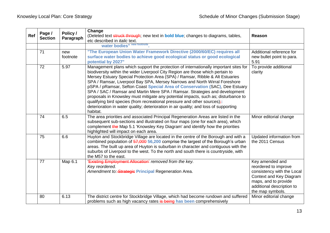| Ref | Page /<br><b>Section</b> | Policy /<br>Paragraph | Reason                                                                                                                                                                                                                                                                                                                                                                                                                                                                                                                                                                                                                                                                                                                                                                     |                                                                                                                                                                           |
|-----|--------------------------|-----------------------|----------------------------------------------------------------------------------------------------------------------------------------------------------------------------------------------------------------------------------------------------------------------------------------------------------------------------------------------------------------------------------------------------------------------------------------------------------------------------------------------------------------------------------------------------------------------------------------------------------------------------------------------------------------------------------------------------------------------------------------------------------------------------|---------------------------------------------------------------------------------------------------------------------------------------------------------------------------|
|     |                          |                       | water bodies" new footnote.                                                                                                                                                                                                                                                                                                                                                                                                                                                                                                                                                                                                                                                                                                                                                |                                                                                                                                                                           |
|     | 71                       | new<br>footnote       | "The European Union Water Framework Directive (2000/60/EC) requires all<br>surface water bodies to achieve good ecological status or good ecological<br>potential by 2027"                                                                                                                                                                                                                                                                                                                                                                                                                                                                                                                                                                                                 | Additional reference for<br>new bullet point to para.<br>5.91                                                                                                             |
|     | 72                       | 5.97                  | Management plans which support the protection of internationally important sites for<br>biodiversity within the wider Liverpool City Region are those which pertain to<br>Mersey Estuary Special Protection Area (SPA) / Ramsar, Ribble & Alt Estuaries<br>SPA / Ramsar, Liverpool Bay SPA, Mersey Narrows and North Wirral Foreshore<br>pSPA / pRamsar, Sefton Coast Special Area of Conservation (SAC), Dee Estuary<br>SPA / SAC / Ramsar and Martin Mere SPA / Ramsar. Strategies and development<br>proposals in Knowsley must mitigate any potential impacts, such as; disturbance to<br>qualifying bird species (from recreational pressure and other sources);:<br>deterioration in water quality; deterioration in air quality; and loss of supporting<br>habitat. | To provide additional<br>clarity                                                                                                                                          |
|     | 74                       | 6.5                   | The area priorities and associated Principal Regeneration Areas are listed in the<br>subsequent sub-sections and illustrated on four maps (one for each area), which<br>complement the Map 5.1 Knowsley Key Diagram' and identify how the priorities<br>highlighted will impact on each area.                                                                                                                                                                                                                                                                                                                                                                                                                                                                              | Minor editorial change                                                                                                                                                    |
|     | 75                       | 6.6                   | Huyton and Stockbridge Village are located in the centre of the Borough and with a<br>combined population of 57,000 56,200 comprise the largest of the Borough's urban<br>areas. The built up area of Huyton is suburban in character and contiguous with the<br>suburbs of Liverpool to the west. To the north and south there is countryside, with<br>the M57 to the east.                                                                                                                                                                                                                                                                                                                                                                                               | Updated information from<br>the 2011 Census                                                                                                                               |
|     | 77                       | Map 6.1               | 'Existing Employment Allocation' removed from the key.<br>Key reordered.<br>Amendment to: Strategic Principal Regeneration Area.                                                                                                                                                                                                                                                                                                                                                                                                                                                                                                                                                                                                                                           | Key amended and<br>reordered to improve<br>consistency with the Local<br>Context and Key Diagram<br>maps, and to provide<br>additional description to<br>the map symbols. |
|     | 80                       | 6.13                  | The district centre for Stockbridge Village, which had become rundown and suffered<br>problems such as high vacancy rates is being has been comprehensively                                                                                                                                                                                                                                                                                                                                                                                                                                                                                                                                                                                                                | Minor editorial change                                                                                                                                                    |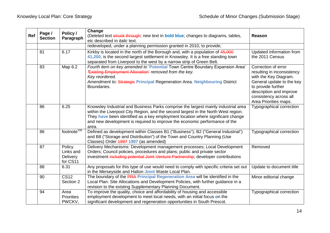| Ref | Page /<br><b>Section</b> | Policy /<br>Paragraph                              | Change<br>(Deleted text struck through; new text in <b>bold blue</b> ; changes to diagrams, tables,<br>etc described in <i>italic</i> text.                                                                                                                                                                                                        | <b>Reason</b>                                                                                                                                                                                               |
|-----|--------------------------|----------------------------------------------------|----------------------------------------------------------------------------------------------------------------------------------------------------------------------------------------------------------------------------------------------------------------------------------------------------------------------------------------------------|-------------------------------------------------------------------------------------------------------------------------------------------------------------------------------------------------------------|
|     |                          |                                                    | redeveloped, under a planning permission granted in 2010, to provide;                                                                                                                                                                                                                                                                              |                                                                                                                                                                                                             |
|     | 81                       | 6.17                                               | Kirkby is located in the north of the Borough and, with a population of 45,000<br>41,200, is the second largest settlement in Knowsley. It is a free standing town<br>separated from Liverpool to the west by a narrow strip of Green Belt.                                                                                                        | Updated information from<br>the 2011 Census                                                                                                                                                                 |
|     | 83                       | Map 6.2                                            | Fourth item on key amended to 'Potential Town Centre Boundary Expansion Area'<br><b>Existing Employment Allocation' removed from the key.</b><br>Key reordered.<br>Amendment to: Strategic Principal Regeneration Area. Neighbouring District<br>Boundaries.                                                                                       | Correction of error<br>resulting in inconsistency<br>with the Key Diagram.<br>General update to the key<br>to provide further<br>description and improve<br>consistency across all<br>Area Priorities maps. |
|     | 86                       | 6.25                                               | Knowsley Industrial and Business Parks comprise the largest mainly industrial area<br>within the Liverpool City Region, and the second largest in the North West region.<br>They have been identified as a key employment location where significant change<br>and new development is required to improve the economic performance of the<br>area. | <b>Typographical correction</b>                                                                                                                                                                             |
|     | 86                       | footnote <sup>106</sup>                            | Defined as development within Classes B1 ("Business"); B2 ("General Industrial")<br>and B8 ("Storage and Distribution") of the Town and Country Planning (Use<br>Classes) Order 4997 1987 (as amended)                                                                                                                                             | Typographical correction                                                                                                                                                                                    |
|     | 87                       | Policy<br>Links and<br><b>Delivery</b><br>for CS11 | Delivery Mechanisms: Development management processes; Local Development<br>Orders; Council policies, procedures and plans; public and private sector<br>investment including potential Joint Venture Partnership; developer contributions                                                                                                         | Removed                                                                                                                                                                                                     |
|     | 88                       | 6.31                                               | Any proposals for this type of use would need to comply with specific criteria set out<br>in the Merseyside and Halton Joint Waste Local Plan.                                                                                                                                                                                                     | Update to document title                                                                                                                                                                                    |
|     | 90                       | <b>CS12</b><br>Section 2                           | The boundary of the PRA Principal Regeneration Area will be identified in the<br>Local Plan: Site Allocations and Development Policies, with further guidance in a<br>revision to the existing Supplementary Planning Document.                                                                                                                    | Minor editorial change                                                                                                                                                                                      |
|     | 94                       | Area<br><b>Priorities</b><br>PWCKV,                | To improve the quality, choice and affordability of housing and accessible<br>employment development to meet local needs, with an initial focus on the<br>significant development and regeneration opportunities in South Prescot.                                                                                                                 | <b>Typographical correction</b>                                                                                                                                                                             |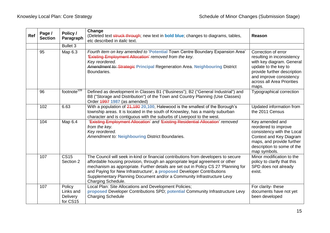| Ref | Page /<br><b>Section</b> | Policy /<br>Paragraph                              | Change<br>(Deleted text struck through; new text in <b>bold blue</b> ; changes to diagrams, tables,<br>etc described in <i>italic</i> text.                                                                                                                                                                                                                                                                                                 | Reason                                                                                                                                                                                                  |
|-----|--------------------------|----------------------------------------------------|---------------------------------------------------------------------------------------------------------------------------------------------------------------------------------------------------------------------------------------------------------------------------------------------------------------------------------------------------------------------------------------------------------------------------------------------|---------------------------------------------------------------------------------------------------------------------------------------------------------------------------------------------------------|
|     |                          | <b>Bullet 3</b>                                    |                                                                                                                                                                                                                                                                                                                                                                                                                                             |                                                                                                                                                                                                         |
|     | 95                       | Map 6.3                                            | Fourth item on key amended to 'Potential Town Centre Boundary Expansion Area'<br><b>Existing Employment Allocation' removed from the key.</b><br>Key reordered.<br>Amendment to: Strategic Principal Regeneration Area. Neighbouring District<br>Boundaries.                                                                                                                                                                                | Correction of error<br>resulting in inconsistency<br>with key diagram. General<br>update to the key to<br>provide further description<br>and improve consistency<br>across all Area Priorities<br>maps. |
|     | 96                       | footnote <sup>109</sup>                            | Defined as development in Classes B1 ("Business"); B2 ("General Industrial") and<br>B8 ("Storage and Distribution") of the Town and Country Planning (Use Classes)<br>Order 4997 1987 (as amended)                                                                                                                                                                                                                                          | Typographical correction                                                                                                                                                                                |
|     | 102                      | 6.63                                               | With a population of 21,180 20,100, Halewood is the smallest of the Borough's<br>township areas. It is located in the south of Knowsley, has a mainly suburban<br>character and is contiguous with the suburbs of Liverpool to the west.                                                                                                                                                                                                    | Updated information from<br>the 2011 Census                                                                                                                                                             |
|     | 104                      | Map 6.4                                            | 'Existing Employment Allocation' and 'Existing Residential Allocation' removed<br>from the key.<br>Key reordered.<br>Amendment to: Neighbouring District Boundaries.                                                                                                                                                                                                                                                                        | Key amended and<br>reordered to improve<br>consistency with the Local<br>Context and Key Diagram<br>maps, and provide further<br>description to some of the<br>map symbols.                             |
|     | 107                      | $\overline{\text{CS}15}$<br>Section 2              | The Council will seek in-kind or financial contributions from developers to secure<br>affordable housing provision, through an appropriate legal agreement or other<br>mechanism as appropriate. Further details are set out in Policy CS 27 'Planning for<br>and Paying for New Infrastructure', a <b>proposed</b> Developer Contributions<br>Supplementary Planning Document and/or a Community Infrastructure Levy<br>Charging Schedule. | Minor modification to the<br>policy to clarify that this<br>SPD does not already<br>exist.                                                                                                              |
|     | 107                      | Policy<br>Links and<br><b>Delivery</b><br>for CS15 | Local Plan: Site Allocations and Development Policies;<br>proposed Developer Contributions SPD; potential Community Infrastructure Levy<br><b>Charging Schedule</b>                                                                                                                                                                                                                                                                         | For clarity- these<br>documents have not yet<br>been developed                                                                                                                                          |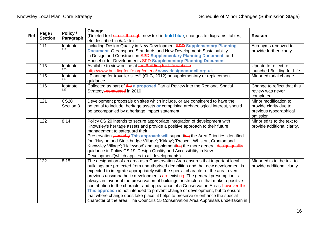| Ref | Page /<br><b>Section</b> | Policy /<br>Paragraph    | Change<br>(Deleted text struck through; new text in <b>bold blue</b> ; changes to diagrams, tables,<br>etc described in <i>italic</i> text.                                                                                                                                                                                                                                                                                                                                                                                                                                                                                                                                                                                                                                                   | <b>Reason</b>                                                                         |
|-----|--------------------------|--------------------------|-----------------------------------------------------------------------------------------------------------------------------------------------------------------------------------------------------------------------------------------------------------------------------------------------------------------------------------------------------------------------------------------------------------------------------------------------------------------------------------------------------------------------------------------------------------------------------------------------------------------------------------------------------------------------------------------------------------------------------------------------------------------------------------------------|---------------------------------------------------------------------------------------|
|     | 111                      | footnote<br>117          | including Design Quality in New Development SPD Supplementary Planning<br><b>Document, Greenspace Standards and New Development; Sustainability</b><br>in Design and Construction SPD Supplementary Planning Document; and<br>Householder Developments SPD Supplementary Planning Document                                                                                                                                                                                                                                                                                                                                                                                                                                                                                                    | Acronyms removed to<br>provide further clarity                                        |
|     | 113                      | footnote<br>120          | Available to view online at the Building for Life website<br>http://www.buildingforlife.org/criteria/ www.designcouncil.org.uk                                                                                                                                                                                                                                                                                                                                                                                                                                                                                                                                                                                                                                                                | Update to reflect re-<br>launched Building for Life.                                  |
|     | 115                      | footnote<br>124          | "Planning for traveller sites" (CLG, 2012) or supplementary or replacement<br>guidance                                                                                                                                                                                                                                                                                                                                                                                                                                                                                                                                                                                                                                                                                                        | Minor editorial change                                                                |
|     | 116                      | footnote<br>127          | Collected as part of the a proposed Partial Review into the Regional Spatial<br>Strategy, conducted in 2010                                                                                                                                                                                                                                                                                                                                                                                                                                                                                                                                                                                                                                                                                   | Change to reflect that this<br>review was never<br>completed                          |
|     | 121                      | <b>CS20</b><br>Section 3 | Development proposals on sites which include, or are considered to have the<br>potential to include, heritage assets or comprising archaeological interest, should<br>be accompanied by a heritage impact statement.                                                                                                                                                                                                                                                                                                                                                                                                                                                                                                                                                                          | Minor modification to<br>provide clarity due to<br>previous typographical<br>omission |
|     | 122                      | 8.14                     | Policy CS 20 intends to secure appropriate integration of development with<br>Knowsley's heritage assets and provide a positive approach to their future<br>management to safeguard their<br>Preservation., thereby This approach will supporting the Area Priorities identified<br>for: 'Huyton and Stockbridge Village'; 'Kirkby'; 'Prescot, Whiston, Cronton and<br>Knowsley Village'; 'Halewood' and supplementing the more general design quality<br>guidance in Policy CS 19 'Design Quality and Accessibility in New<br>Development'(which applies to all developments).                                                                                                                                                                                                               | Minor edits to the text to<br>provide additional clarity.                             |
|     | 122                      | 8.15                     | The designation of an area as a Conservation Area ensures that important local<br>buildings are protected from unauthorised demolition and that new development is<br>expected to integrate appropriately with the special character of the area, even if<br>previous unsympathetic developments are existing. The general presumption is<br>always in favour of the preservation of buildings or structures that make a positive<br>contribution to the character and appearance of a Conservation Area <sub>r</sub> . however this<br>This approach is not intended to prevent change or development, but to ensure<br>that where change does take place, it helps to preserve or enhance the special<br>character of the area. The Council's 15 Conservation Area Appraisals undertaken in | Minor edits to the text to<br>provide additional clarity.                             |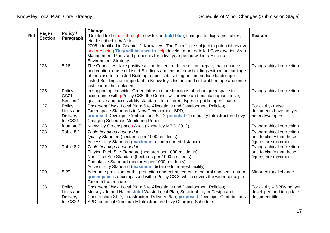| Ref | Page /<br><b>Section</b> | Policy /<br>Paragraph                              | Change<br>(Deleted text struck through; new text in <b>bold blue</b> ; changes to diagrams, tables,<br>etc described in <i>italic</i> text.                                                                                                                                                                                                                                        | <b>Reason</b>                                                                 |
|-----|--------------------------|----------------------------------------------------|------------------------------------------------------------------------------------------------------------------------------------------------------------------------------------------------------------------------------------------------------------------------------------------------------------------------------------------------------------------------------------|-------------------------------------------------------------------------------|
|     |                          |                                                    | 2005 (identified in Chapter 2 'Knowsley - The Place') are subject to potential review.<br>and are being They will be used to help develop more detailed Conservation Area<br>Management Plans and proposals for a five year period within a Historic<br><b>Environment Strategy.</b>                                                                                               |                                                                               |
|     | 123                      | 8.16                                               | The Council will take positive action to secure the retention, repair, maintenance<br>and continued use of Listed Buildings and ensure new buildings within the curtilage<br>of, or close to, a Listed Building respects its setting and immediate landscape.<br>Listed Buildings are important to Knowsley's historic and cultural heritage and once<br>lost, cannot be replaced. | Typographical correction                                                      |
|     | 125                      | Policy<br>CS <sub>21</sub><br>Section 1            | In supporting the wider Green Infrastructure functions of urban greenspace in<br>accordance with <b>pPolicy CS8</b> , the Council will provide and maintain quantitative,<br>qualitative and accessibility standards for different types of public open space.                                                                                                                     | Typographical correction                                                      |
|     | 127                      | Policy<br>Links and<br>Delivery<br>for CS21        | Document Links: Local Plan: Site Allocations and Development Policies;<br>Greenspace Standards in New Development SPD;<br>proposed Developer Contributions SPD; potential Community Infrastructure Levy<br><b>Charging Schedule; Monitoring Report</b>                                                                                                                             | For clarity- these<br>documents have not yet<br>been developed                |
|     | 128                      | footnote $135$                                     | Knowsley Greenspaces Audit (Knowsley MBC, 2012)                                                                                                                                                                                                                                                                                                                                    | Typographical correction                                                      |
|     | 128                      | Table 8.1                                          | Table headings changed to:<br>Quality Standard (hectares per 1000 residents)<br>Accessibility Standard (maximum recommended distance)                                                                                                                                                                                                                                              | Typographical correction<br>and to clarify that these<br>figures are maximum. |
|     | 129                      | Table 8.2                                          | Table headings changed to:<br>Playing Pitch Site Standard (hectares per 1000 residents)<br>Non Pitch Site Standard (hectares per 1000 residents)<br>Cumulative Standard (hectares per 1000 residents)<br>Accessibility Standard (maximum distance to nearest facility)                                                                                                             | Typographical correction<br>and to clarify that these<br>figures are maximum. |
|     | 130                      | 8.29                                               | Adequate provision for the protection and enhancement of natural and semi-natural<br>greenspace is encompassed within Policy CS 8, which covers the wider concept of<br>Green Infrastructure.                                                                                                                                                                                      | Minor editorial change                                                        |
|     | 133                      | Policy<br>Links and<br><b>Delivery</b><br>for CS22 | Document Links: Local Plan: Site Allocations and Development Policies;<br>Merseyside and Halton Joint Waste Local Plan; Sustainability in Design and<br>Construction SPD; Infrastructure Delivery Plan; proposed Developer Contributions<br>SPD; potential Community Infrastructure Levy Charging Schedule.                                                                        | For clarity - SPDs not yet<br>developed and to update<br>document title.      |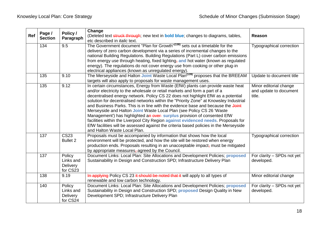|     | Page /         | Policy /                                           | Change                                                                                                                                                                                                                                                                                                                                                                                                                                                                                                                                                                                                                                                                                                                                                                                            |                                                            |
|-----|----------------|----------------------------------------------------|---------------------------------------------------------------------------------------------------------------------------------------------------------------------------------------------------------------------------------------------------------------------------------------------------------------------------------------------------------------------------------------------------------------------------------------------------------------------------------------------------------------------------------------------------------------------------------------------------------------------------------------------------------------------------------------------------------------------------------------------------------------------------------------------------|------------------------------------------------------------|
| Ref | <b>Section</b> | Paragraph                                          | (Deleted text struck through; new text in <b>bold blue</b> ; changes to diagrams, tables,<br>etc described in <i>italic</i> text.                                                                                                                                                                                                                                                                                                                                                                                                                                                                                                                                                                                                                                                                 | <b>Reason</b>                                              |
|     | 134            | 9.5                                                | The Government document "Plan for Growth" <sup>(138)</sup> sets out a timetable for the<br>delivery of zero carbon development via a series of incremental changes to the<br>national Building Regulations. Building Regulations (Part L) cover carbon emissions<br>from energy use through heating, fixed lighting, and hot water (known as regulated<br>energy). The regulations do not cover energy use from cooking or other plug-in<br>electrical appliances (known as unregulated energy).                                                                                                                                                                                                                                                                                                  | Typographical correction                                   |
|     | 135            | 9.10                                               | The Merseyside and Halton Joint Waste Local Plan <sup>(139)</sup> proposes that the BREEAM<br>targets will also apply to proposals for waste management uses.                                                                                                                                                                                                                                                                                                                                                                                                                                                                                                                                                                                                                                     | Update to document title                                   |
|     | 135            | 9.12                                               | In certain circumstances, Energy from Waste (EfW) plants can provide waste heat<br>and/or electricity to the wholesale or retail markets and form a part of a<br>decentralised energy network. Policy CS 22 does not highlight EfW as a potential<br>solution for decentralised networks within the "Priority Zone" at Knowsley Industrial<br>and Business Parks. This is in line with the evidence base and because the Joint<br>Merseyside and Halton Joint Waste Local Plan (see Policy CS 26 'Waste<br>Management') has highlighted an over surplus provision of consented EfW<br>facilities within the Liverpool City Region against evidenced needs. Proposals for<br>EfW facilities will be assessed against the criteria based policies in the Merseyside<br>and Halton Waste Local Plan. | Minor editorial change<br>and update to document<br>title. |
|     | 137            | <b>CS23</b><br>Bullet 2                            | Proposals must be accompanied by information that shows how the local<br>environment will be protected, and how the site will be restored when energy<br>production ends. Proposals resulting in an unacceptable impact, must be mitigated<br>by appropriate measures, agreed by the Council.                                                                                                                                                                                                                                                                                                                                                                                                                                                                                                     | Typographical correction                                   |
|     | 137            | Policy<br>Links and<br>Delivery<br>for CS23        | Document Links: Local Plan: Site Allocations and Development Policies; proposed<br>Sustainability in Design and Construction SPD; Infrastructure Delivery Plan                                                                                                                                                                                                                                                                                                                                                                                                                                                                                                                                                                                                                                    | For clarity - SPDs not yet<br>developed.                   |
|     | 138            | 9.19                                               | In applying Policy CS 23 it should be noted that it will apply to all types of<br>renewable and low carbon technology.                                                                                                                                                                                                                                                                                                                                                                                                                                                                                                                                                                                                                                                                            | Minor editorial change                                     |
|     | 140            | Policy<br>Links and<br><b>Delivery</b><br>for CS24 | Document Links: Local Plan: Site Allocations and Development Policies; proposed<br>Sustainability in Design and Construction SPD; proposed Design Quality in New<br>Development SPD; Infrastructure Delivery Plan                                                                                                                                                                                                                                                                                                                                                                                                                                                                                                                                                                                 | For clarity - SPDs not yet<br>developed.                   |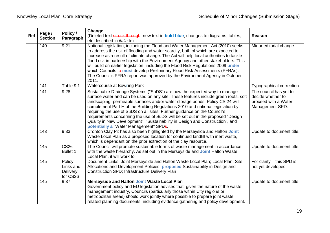| Ref | Page /<br><b>Section</b> | Policy /<br>Paragraph                              | Change<br>(Deleted text struck through; new text in <b>bold blue</b> ; changes to diagrams, tables,<br>etc described in <i>italic</i> text.                                                                                                                                                                                                                                                                                                                                                                                                                                                                                   | Reason                                                                                 |
|-----|--------------------------|----------------------------------------------------|-------------------------------------------------------------------------------------------------------------------------------------------------------------------------------------------------------------------------------------------------------------------------------------------------------------------------------------------------------------------------------------------------------------------------------------------------------------------------------------------------------------------------------------------------------------------------------------------------------------------------------|----------------------------------------------------------------------------------------|
|     | 140                      | 9.21                                               | National legislation, including the Flood and Water Management Act (2010) seeks<br>to address the risk of flooding and water scarcity, both of which are expected to<br>increase as a result of climate change. The Act will help local authorities to tackle<br>flood risk in partnership with the Environment Agency and other stakeholders. This<br>will build on earlier legislation, including the Flood Risk Regulations 2009 under<br>which Councils to must develop Preliminary Flood Risk Assessments (PFRAs).<br>The Council's PFRA report was approved by the Environment Agency in October<br>2011.               | Minor editorial change                                                                 |
|     | 141                      | Table 9.1                                          | <b>Watercourse at Bowring Park</b>                                                                                                                                                                                                                                                                                                                                                                                                                                                                                                                                                                                            | Typographical correction                                                               |
|     | 141                      | 9.28                                               | Sustainable Drainage Systems ("SuDS") are now the expected way to manage<br>surface water and can be used on any site. These features include green roofs, soft<br>landscaping, permeable surfaces and/or water storage ponds. Policy CS 24 will<br>complement Part H of the Building Regulations 2010 and national legislation by<br>requiring the use of SuDS on all sites. Further guidance on the Council's<br>requirements concerning the use of SuDS will be set out in the proposed "Design<br>Quality in New Development", "Sustainability in Design and Construction", and<br>potentially a "Water Management" SPDs. | The council has yet to<br>decide whether to<br>proceed with a Water<br>Management SPD. |
|     | 143                      | 9.33                                               | Cronton Clay Pit has also been highlighted by the Merseyside and Halton Joint<br>Waste Local Plan as a proposed location for continued landfill with inert waste,<br>which is dependant on the prior extraction of the clay resource.                                                                                                                                                                                                                                                                                                                                                                                         | Update to document title.                                                              |
|     | 145                      | $\overline{\text{CS26}}$<br><b>Bullet 1</b>        | The Council will promote sustainable forms of waste management in accordance<br>with the waste hierarchy. As set out in the Merseyside and Joint Halton Waste<br>Local Plan, it will work to:                                                                                                                                                                                                                                                                                                                                                                                                                                 | Update to document title.                                                              |
|     | 145                      | Policy<br>Links and<br><b>Delivery</b><br>for CS26 | Document Links: Joint Merseyside and Halton Waste Local Plan; Local Plan: Site<br>Allocations and Development Policies; <b>proposed</b> Sustainability in Design and<br>Construction SPD; Infrastructure Delivery Plan                                                                                                                                                                                                                                                                                                                                                                                                        | For clarity - this SPD is<br>not yet developed                                         |
|     | 145                      | 9.37                                               | Merseyside and Halton Joint Waste Local Plan<br>Government policy and EU legislation advises that, given the nature of the waste<br>management industry, Councils (particularly those within City regions or<br>metropolitan areas) should work jointly where possible to prepare joint waste<br>related planning documents, including evidence gathering and policy development.                                                                                                                                                                                                                                             | Update to document title                                                               |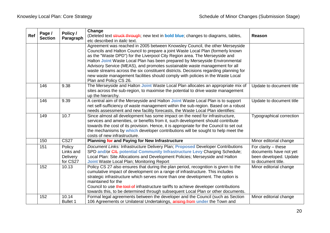| Ref | Page /<br><b>Section</b> | Policy /<br>Paragraph                              | Change<br>(Deleted text struck through; new text in <b>bold blue</b> ; changes to diagrams, tables,<br>etc described in <i>italic</i> text.                                                                                                                                                                                                                                                                                                                                                                                                                                                                    | <b>Reason</b>                                                                                   |
|-----|--------------------------|----------------------------------------------------|----------------------------------------------------------------------------------------------------------------------------------------------------------------------------------------------------------------------------------------------------------------------------------------------------------------------------------------------------------------------------------------------------------------------------------------------------------------------------------------------------------------------------------------------------------------------------------------------------------------|-------------------------------------------------------------------------------------------------|
|     |                          |                                                    | Agreement was reached in 2005 between Knowsley Council, the other Merseyside<br>Councils and Halton Council to prepare a joint Waste Local Plan (formerly known<br>as the "Waste DPD") for the Liverpool City Region area. The Merseyside and<br>Halton Joint Waste Local Plan has been prepared by Merseyside Environmental<br>Advisory Service (MEAS), and promotes sustainable waste management for all<br>waste streams across the six constituent districts. Decisions regarding planning for<br>new waste management facilities should comply with policies in the Waste Local<br>Plan and Policy CS 26. |                                                                                                 |
|     | 146                      | 9.38                                               | The Merseyside and Halton Joint Waste Local Plan allocates an appropriate mix of<br>sites across the sub-region, to maximise the potential to drive waste management<br>up the hierarchy.                                                                                                                                                                                                                                                                                                                                                                                                                      | Update to document title                                                                        |
|     | 146                      | 9.39                                               | A central aim of the Merseyside and Halton Joint Waste Local Plan is to support<br>net self-sufficiency of waste management within the sub-region. Based on a robust<br>needs assessment and new facility forecasts, the Waste Local Plan identifies:                                                                                                                                                                                                                                                                                                                                                          | Update to document title                                                                        |
|     | 149                      | 10.7                                               | Since almost all development has some impact on the need for infrastructure,<br>services and amenities, or benefits from it, such development should contribute<br>towards the cost of its provision. Hence, it is appropriate for the Council to set out<br>the mechanisms by which developer contributions will be sought to help meet the<br>costs of new infrastructure.                                                                                                                                                                                                                                   | Typographical correction                                                                        |
|     | 150                      | <b>CS27</b>                                        | Planning for and Paying for New Infrastructure                                                                                                                                                                                                                                                                                                                                                                                                                                                                                                                                                                 | Minor editorial change                                                                          |
|     | 151                      | Policy<br>Links and<br><b>Delivery</b><br>for CS27 | Document Links: Infrastructure Delivery Plan; Proposed Developer Contributions<br>SPD and/or CIL potential Community Infrastructure Levy Charging Schedule;<br>Local Plan: Site Allocations and Development Policies; Merseyside and Halton<br><b>Joint Waste Local Plan; Monitoring Report</b>                                                                                                                                                                                                                                                                                                                | For clarity $-$ these<br>documents have not yet<br>been developed. Update<br>to document title. |
|     | 152                      | 10.13                                              | Policy CS 27 also ensures that during the plan period, recognition is given to the<br>cumulative impact of development on a range of infrastructure. This includes<br>strategic infrastructure which serves more than one development. The option is<br>maintained for the<br>Council to use the tool of infrastructure tariffs to achieve developer contributions<br>towards this, to be determined through subsequent Local Plan or other documents.                                                                                                                                                         | Minor editorial change                                                                          |
|     | 152                      | 10.14<br><b>Bullet 1</b>                           | Formal legal agreements between the developer and the Council (such as Section<br>106 Agreements or Unilateral Undertakings, arising from under the Town and                                                                                                                                                                                                                                                                                                                                                                                                                                                   | Minor editorial change                                                                          |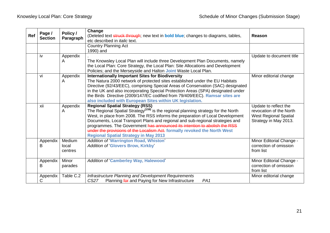| <b>Ref</b> | Page /<br><b>Section</b> | Policy /                             | Change<br>(Deleted text struck through; new text in <b>bold blue</b> ; changes to diagrams, tables,                                      | Reason                                           |
|------------|--------------------------|--------------------------------------|------------------------------------------------------------------------------------------------------------------------------------------|--------------------------------------------------|
|            | Paragraph                | etc described in <i>italic</i> text. |                                                                                                                                          |                                                  |
|            |                          |                                      | <b>Country Planning Act</b>                                                                                                              |                                                  |
|            |                          |                                      | 1990) and                                                                                                                                |                                                  |
|            | iv                       | Appendix                             |                                                                                                                                          | Update to document title                         |
|            |                          | A                                    | The Knowsley Local Plan will include three Development Plan Documents, namely                                                            |                                                  |
|            |                          |                                      | the Local Plan: Core Strategy, the Local Plan: Site Allocations and Development                                                          |                                                  |
|            |                          |                                      | Policies; and the Merseyside and Halton Joint Waste Local Plan.                                                                          |                                                  |
|            | ۷i                       | Appendix                             | <b>Internationally Important Sites for Biodiversity</b>                                                                                  | Minor editorial change                           |
|            |                          | A                                    | The Natura 2000 network of protected sites established under the EU Habitats                                                             |                                                  |
|            |                          |                                      | Directive (92/43/EEC), comprising Special Areas of Conservation (SAC) designated                                                         |                                                  |
|            |                          |                                      | in the UK and also incorporating Special Protection Areas (SPA) designated under                                                         |                                                  |
|            |                          |                                      | the Birds Directive (2009/147/EC codified from 79/409/EEC). Ramsar sites are                                                             |                                                  |
|            |                          |                                      | also included with European Sites within UK legislation.                                                                                 |                                                  |
|            | xii                      | Appendix<br>A                        | <b>Regional Spatial Strategy (RSS)</b><br>The Regional Spatial Strategy <sup>(159)</sup> is the regional planning strategy for the North | Update to reflect the<br>revocation of the North |
|            |                          |                                      | West, in place from 2008. The RSS informs the preparation of Local Development                                                           | <b>West Regional Spatial</b>                     |
|            |                          |                                      | Documents, Local Transport Plans and regional and sub-regional strategies and                                                            | Strategy in May 2013.                            |
|            |                          |                                      | programmes. The Government has announced its intention to abolish the RSS                                                                |                                                  |
|            |                          |                                      | under the provisions of the Localism Act. formally revoked the North West                                                                |                                                  |
|            |                          |                                      | <b>Regional Spatial Strategy in May 2013</b>                                                                                             |                                                  |
|            | Appendix                 | Medium                               | <b>Addition of 'Warrington Road, Whiston'</b>                                                                                            | Minor Editorial Change -                         |
|            | В                        | local                                | <b>Addition of 'Glovers Brow, Kirkby'</b>                                                                                                | correction of omission                           |
|            |                          | centres                              |                                                                                                                                          | from list                                        |
|            |                          |                                      |                                                                                                                                          |                                                  |
|            | Appendix                 | Minor                                | <b>Addition of 'Camberley Way, Halewood'</b>                                                                                             | Minor Editorial Change -                         |
|            | B                        | parades                              |                                                                                                                                          | correction of omission                           |
|            |                          |                                      |                                                                                                                                          | from list                                        |
|            | Appendix                 | Table C.2                            | Infrastructure Planning and Development Requirements                                                                                     | Minor editorial change                           |
|            | С                        |                                      | <b>CS27</b><br>Planning for and Paying for New Infrastructure<br>PA <sub>1</sub>                                                         |                                                  |